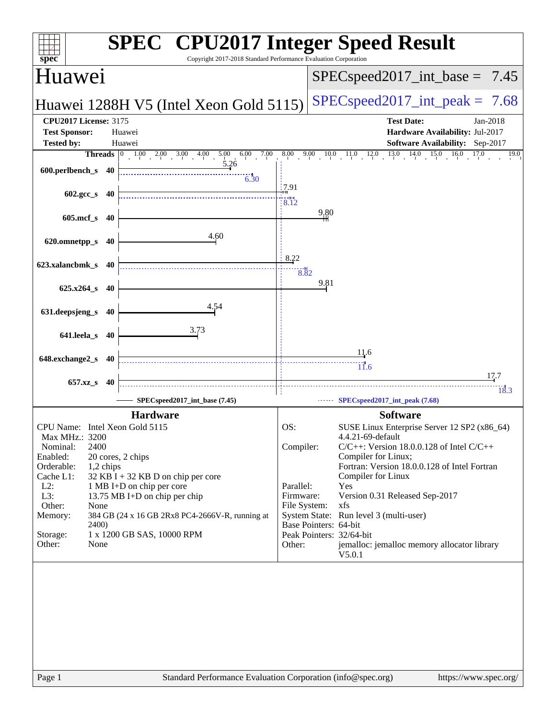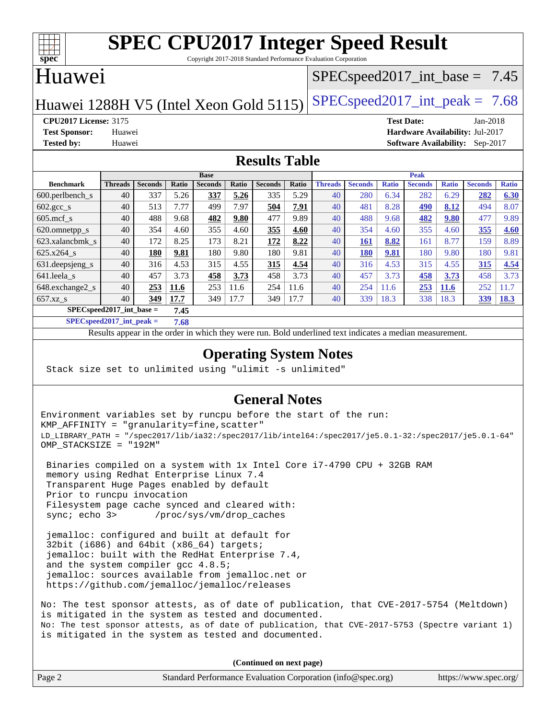

Copyright 2017-2018 Standard Performance Evaluation Corporation

## Huawei

### $SPECspeed2017\_int\_base = 7.45$

Huawei 1288H V5 (Intel Xeon Gold 5115) SPECspeed 2017\_int\_peak =  $7.68$ 

**[CPU2017 License:](http://www.spec.org/auto/cpu2017/Docs/result-fields.html#CPU2017License)** 3175 **[Test Date:](http://www.spec.org/auto/cpu2017/Docs/result-fields.html#TestDate)** Jan-2018 **[Test Sponsor:](http://www.spec.org/auto/cpu2017/Docs/result-fields.html#TestSponsor)** Huawei **[Hardware Availability:](http://www.spec.org/auto/cpu2017/Docs/result-fields.html#HardwareAvailability)** Jul-2017 **[Tested by:](http://www.spec.org/auto/cpu2017/Docs/result-fields.html#Testedby)** Huawei **[Software Availability:](http://www.spec.org/auto/cpu2017/Docs/result-fields.html#SoftwareAvailability)** Sep-2017

#### **[Results Table](http://www.spec.org/auto/cpu2017/Docs/result-fields.html#ResultsTable)**

|                                      | <b>Base</b>    |                |       |                | <b>Peak</b> |                |       |                |                |              |                |              |                |              |
|--------------------------------------|----------------|----------------|-------|----------------|-------------|----------------|-------|----------------|----------------|--------------|----------------|--------------|----------------|--------------|
| <b>Benchmark</b>                     | <b>Threads</b> | <b>Seconds</b> | Ratio | <b>Seconds</b> | Ratio       | <b>Seconds</b> | Ratio | <b>Threads</b> | <b>Seconds</b> | <b>Ratio</b> | <b>Seconds</b> | <b>Ratio</b> | <b>Seconds</b> | <b>Ratio</b> |
| $600.$ perlbench $\mathsf{S}$        | 40             | 337            | 5.26  | 337            | 5.26        | 335            | 5.29  | 40             | 280            | 6.34         | 282            | 6.29         | 282            | 6.30         |
| $602 \text{.} \text{gcc}\text{_<}$ s | 40             | 513            | 7.77  | 499            | 7.97        | 504            | 7.91  | 40             | 481            | 8.28         | <u>490</u>     | 8.12         | 494            | 8.07         |
| $605$ .mcf s                         | 40             | 488            | 9.68  | 482            | 9.80        | 477            | 9.89  | 40             | 488            | 9.68         | 482            | 9.80         | 477            | 9.89         |
| 620.omnetpp_s                        | 40             | 354            | 4.60  | 355            | 4.60        | 355            | 4.60  | 40             | 354            | 4.60         | 355            | 4.60         | 355            | 4.60         |
| 623.xalancbmk s                      | 40             | 172            | 8.25  | 173            | 8.21        | 172            | 8.22  | 40             | 161            | 8.82         | 161            | 8.77         | 159            | 8.89         |
| 625.x264 s                           | 40             | 180            | 9.81  | 180            | 9.80        | 180            | 9.81  | 40             | 180            | 9.81         | 180            | 9.80         | 180            | 9.81         |
| 631.deepsjeng_s                      | 40             | 316            | 4.53  | 315            | 4.55        | 315            | 4.54  | 40             | 316            | 4.53         | 315            | 4.55         | 315            | 4.54         |
| 641.leela s                          | 40             | 457            | 3.73  | 458            | 3.73        | 458            | 3.73  | 40             | 457            | 3.73         | 458            | 3.73         | 458            | 3.73         |
| 648.exchange2_s                      | 40             | 253            | 11.6  | 253            | 11.6        | 254            | 11.6  | 40             | 254            | 11.6         | 253            | <b>11.6</b>  | 252            | 1.7          |
| $657.xz$ s                           | 40             | 349            | 17.7  | 349            | 17.7        | 349            | 17.7  | 40             | 339            | 18.3         | 338            | 18.3         | <b>339</b>     | <u>18.3</u>  |
| $SPECspeed2017$ int base =<br>7.45   |                |                |       |                |             |                |       |                |                |              |                |              |                |              |

**[SPECspeed2017\\_int\\_peak =](http://www.spec.org/auto/cpu2017/Docs/result-fields.html#SPECspeed2017intpeak) 7.68**

Results appear in the [order in which they were run.](http://www.spec.org/auto/cpu2017/Docs/result-fields.html#RunOrder) Bold underlined text [indicates a median measurement](http://www.spec.org/auto/cpu2017/Docs/result-fields.html#Median).

### **[Operating System Notes](http://www.spec.org/auto/cpu2017/Docs/result-fields.html#OperatingSystemNotes)**

Stack size set to unlimited using "ulimit -s unlimited"

### **[General Notes](http://www.spec.org/auto/cpu2017/Docs/result-fields.html#GeneralNotes)**

Environment variables set by runcpu before the start of the run: KMP\_AFFINITY = "granularity=fine,scatter" LD\_LIBRARY\_PATH = "/spec2017/lib/ia32:/spec2017/lib/intel64:/spec2017/je5.0.1-32:/spec2017/je5.0.1-64" OMP\_STACKSIZE = "192M"

 Binaries compiled on a system with 1x Intel Core i7-4790 CPU + 32GB RAM memory using Redhat Enterprise Linux 7.4 Transparent Huge Pages enabled by default Prior to runcpu invocation Filesystem page cache synced and cleared with: sync; echo 3> /proc/sys/vm/drop\_caches

 jemalloc: configured and built at default for 32bit (i686) and 64bit (x86\_64) targets; jemalloc: built with the RedHat Enterprise 7.4, and the system compiler gcc 4.8.5; jemalloc: sources available from jemalloc.net or <https://github.com/jemalloc/jemalloc/releases>

No: The test sponsor attests, as of date of publication, that CVE-2017-5754 (Meltdown) is mitigated in the system as tested and documented. No: The test sponsor attests, as of date of publication, that CVE-2017-5753 (Spectre variant 1) is mitigated in the system as tested and documented.

**(Continued on next page)**

| Page 2<br>Standard Performance Evaluation Corporation (info@spec.org) | https://www.spec.org/ |
|-----------------------------------------------------------------------|-----------------------|
|-----------------------------------------------------------------------|-----------------------|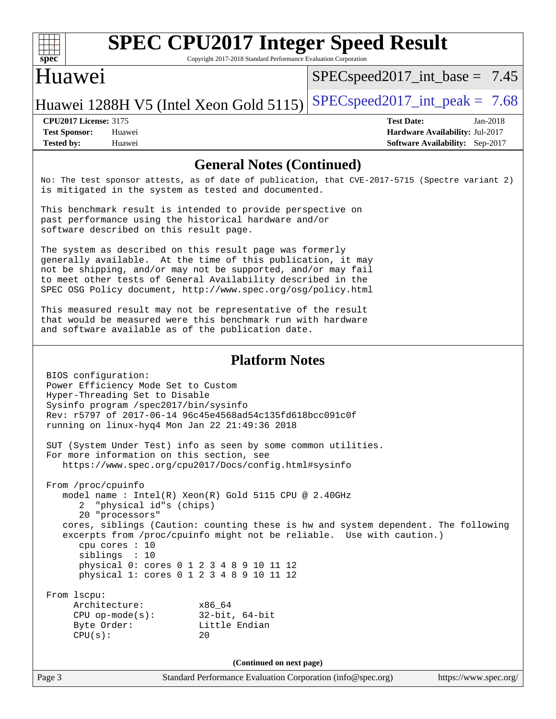

Copyright 2017-2018 Standard Performance Evaluation Corporation

### Huawei

 $SPECspeed2017\_int\_base = 7.45$ 

Huawei 1288H V5 (Intel Xeon Gold 5115) SPECspeed 2017\_int\_peak =  $7.68$ 

**[Tested by:](http://www.spec.org/auto/cpu2017/Docs/result-fields.html#Testedby)** Huawei **[Software Availability:](http://www.spec.org/auto/cpu2017/Docs/result-fields.html#SoftwareAvailability)** Sep-2017

**[CPU2017 License:](http://www.spec.org/auto/cpu2017/Docs/result-fields.html#CPU2017License)** 3175 **[Test Date:](http://www.spec.org/auto/cpu2017/Docs/result-fields.html#TestDate)** Jan-2018 **[Test Sponsor:](http://www.spec.org/auto/cpu2017/Docs/result-fields.html#TestSponsor)** Huawei **[Hardware Availability:](http://www.spec.org/auto/cpu2017/Docs/result-fields.html#HardwareAvailability)** Jul-2017

#### **[General Notes \(Continued\)](http://www.spec.org/auto/cpu2017/Docs/result-fields.html#GeneralNotes)**

No: The test sponsor attests, as of date of publication, that CVE-2017-5715 (Spectre variant 2) is mitigated in the system as tested and documented.

This benchmark result is intended to provide perspective on past performance using the historical hardware and/or software described on this result page.

The system as described on this result page was formerly generally available. At the time of this publication, it may not be shipping, and/or may not be supported, and/or may fail to meet other tests of General Availability described in the SPEC OSG Policy document, <http://www.spec.org/osg/policy.html>

This measured result may not be representative of the result that would be measured were this benchmark run with hardware and software available as of the publication date.

#### **[Platform Notes](http://www.spec.org/auto/cpu2017/Docs/result-fields.html#PlatformNotes)**

```
 BIOS configuration:
Power Efficiency Mode Set to Custom
Hyper-Threading Set to Disable
Sysinfo program /spec2017/bin/sysinfo
Rev: r5797 of 2017-06-14 96c45e4568ad54c135fd618bcc091c0f
running on linux-hyq4 Mon Jan 22 21:49:36 2018
SUT (System Under Test) info as seen by some common utilities.
For more information on this section, see
  https://www.spec.org/cpu2017/Docs/config.html#sysinfo
From /proc/cpuinfo
  model name : Intel(R) Xeon(R) Gold 5115 CPU @ 2.40GHz
      2 "physical id"s (chips)
      20 "processors"
   cores, siblings (Caution: counting these is hw and system dependent. The following
   excerpts from /proc/cpuinfo might not be reliable. Use with caution.)
      cpu cores : 10
      siblings : 10
     physical 0: cores 0 1 2 3 4 8 9 10 11 12
     physical 1: cores 0 1 2 3 4 8 9 10 11 12
From lscpu:
   Architecture: x86_64
     CPU op-mode(s): 32-bit, 64-bit
   Byte Order: Little Endian
    CPU(s): 20
```
**(Continued on next page)**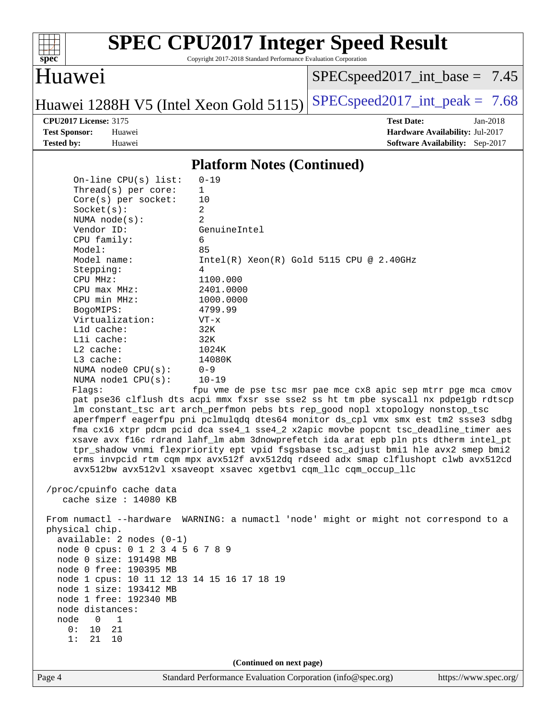

Copyright 2017-2018 Standard Performance Evaluation Corporation

## Huawei

[SPECspeed2017\\_int\\_base =](http://www.spec.org/auto/cpu2017/Docs/result-fields.html#SPECspeed2017intbase) 7.45

Huawei 1288H V5 (Intel Xeon Gold 5115) [SPECspeed2017\\_int\\_peak =](http://www.spec.org/auto/cpu2017/Docs/result-fields.html#SPECspeed2017intpeak)  $7.68$ 

**[CPU2017 License:](http://www.spec.org/auto/cpu2017/Docs/result-fields.html#CPU2017License)** 3175 **[Test Date:](http://www.spec.org/auto/cpu2017/Docs/result-fields.html#TestDate)** Jan-2018 **[Test Sponsor:](http://www.spec.org/auto/cpu2017/Docs/result-fields.html#TestSponsor)** Huawei **[Hardware Availability:](http://www.spec.org/auto/cpu2017/Docs/result-fields.html#HardwareAvailability)** Jul-2017 **[Tested by:](http://www.spec.org/auto/cpu2017/Docs/result-fields.html#Testedby)** Huawei **[Software Availability:](http://www.spec.org/auto/cpu2017/Docs/result-fields.html#SoftwareAvailability)** Sep-2017

#### **[Platform Notes \(Continued\)](http://www.spec.org/auto/cpu2017/Docs/result-fields.html#PlatformNotes)**

|                   |                                                                                                                                                                                                                                                                                             | (Continued on next page)                                                                                                                                                                                                                                                                                                                                                                                                                                                                                                                                                                                                                                                                                                                                                                    |  |
|-------------------|---------------------------------------------------------------------------------------------------------------------------------------------------------------------------------------------------------------------------------------------------------------------------------------------|---------------------------------------------------------------------------------------------------------------------------------------------------------------------------------------------------------------------------------------------------------------------------------------------------------------------------------------------------------------------------------------------------------------------------------------------------------------------------------------------------------------------------------------------------------------------------------------------------------------------------------------------------------------------------------------------------------------------------------------------------------------------------------------------|--|
|                   |                                                                                                                                                                                                                                                                                             |                                                                                                                                                                                                                                                                                                                                                                                                                                                                                                                                                                                                                                                                                                                                                                                             |  |
| node<br>0 :<br>1: | physical chip.<br>$available: 2 nodes (0-1)$<br>node 0 cpus: 0 1 2 3 4 5 6 7 8 9<br>node 0 size: 191498 MB<br>node 0 free: 190395 MB<br>node 1 cpus: 10 11 12 13 14 15 16 17 18 19<br>node 1 size: 193412 MB<br>node 1 free: 192340 MB<br>node distances:<br>0<br>1<br>10<br>21<br>21<br>10 | From numactl --hardware WARNING: a numactl 'node' might or might not correspond to a                                                                                                                                                                                                                                                                                                                                                                                                                                                                                                                                                                                                                                                                                                        |  |
|                   | L3 cache:<br>NUMA node0 CPU(s):<br>NUMA nodel CPU(s):<br>Flags:<br>/proc/cpuinfo cache data<br>cache size : 14080 KB                                                                                                                                                                        | 14080K<br>$0 - 9$<br>$10 - 19$<br>fpu vme de pse tsc msr pae mce cx8 apic sep mtrr pge mca cmov<br>pat pse36 clflush dts acpi mmx fxsr sse sse2 ss ht tm pbe syscall nx pdpelgb rdtscp<br>lm constant_tsc art arch_perfmon pebs bts rep_good nopl xtopology nonstop_tsc<br>aperfmperf eagerfpu pni pclmulqdq dtes64 monitor ds_cpl vmx smx est tm2 ssse3 sdbg<br>fma cx16 xtpr pdcm pcid dca sse4_1 sse4_2 x2apic movbe popcnt tsc_deadline_timer aes<br>xsave avx f16c rdrand lahf_lm abm 3dnowprefetch ida arat epb pln pts dtherm intel_pt<br>tpr_shadow vnmi flexpriority ept vpid fsgsbase tsc_adjust bmil hle avx2 smep bmi2<br>erms invpcid rtm cqm mpx avx512f avx512dq rdseed adx smap clflushopt clwb avx512cd<br>avx512bw avx512vl xsaveopt xsavec xgetbvl cqm_llc cqm_occup_llc |  |
|                   | BogoMIPS:<br>Virtualization:<br>$L1d$ cache:<br>Lli cache:<br>$L2$ cache:                                                                                                                                                                                                                   | 4799.99<br>$VT - x$<br>32K<br>32K<br>1024K                                                                                                                                                                                                                                                                                                                                                                                                                                                                                                                                                                                                                                                                                                                                                  |  |
|                   | Stepping:<br>CPU MHz:<br>CPU max MHz:<br>CPU min MHz:                                                                                                                                                                                                                                       | 4<br>1100.000<br>2401.0000<br>1000.0000                                                                                                                                                                                                                                                                                                                                                                                                                                                                                                                                                                                                                                                                                                                                                     |  |
|                   | NUMA $node(s)$ :<br>Vendor ID:<br>CPU family:<br>Model:<br>Model name:                                                                                                                                                                                                                      | 2<br>GenuineIntel<br>6<br>85<br>$Intel(R)$ Xeon $(R)$ Gold 5115 CPU @ 2.40GHz                                                                                                                                                                                                                                                                                                                                                                                                                                                                                                                                                                                                                                                                                                               |  |
|                   | On-line CPU(s) list:<br>Thread(s) per core:<br>$Core(s)$ per socket:<br>Socket(s):                                                                                                                                                                                                          | $0 - 19$<br>$\mathbf{1}$<br>10<br>$\overline{a}$                                                                                                                                                                                                                                                                                                                                                                                                                                                                                                                                                                                                                                                                                                                                            |  |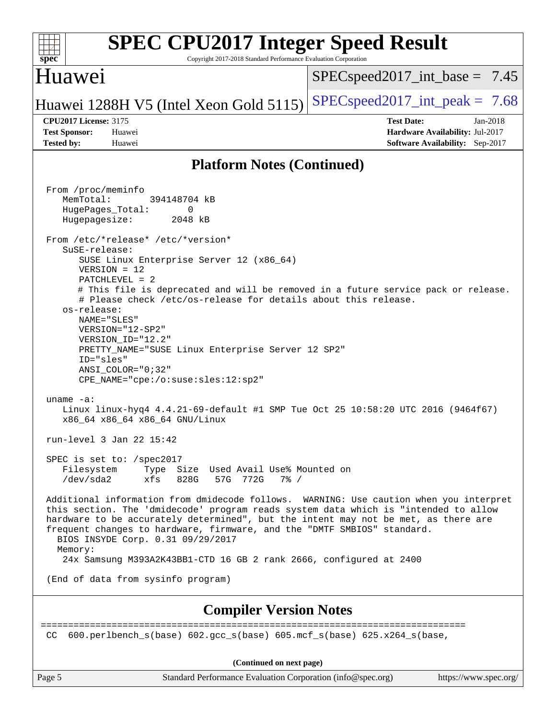#### **[spec](http://www.spec.org/) [SPEC CPU2017 Integer Speed Result](http://www.spec.org/auto/cpu2017/Docs/result-fields.html#SPECCPU2017IntegerSpeedResult)** Copyright 2017-2018 Standard Performance Evaluation Corporation Huawei Huawei 1288H V5 (Intel Xeon Gold 5115) SPECspeed 2017\_int\_peak =  $7.68$  $SPECspeed2017\_int\_base = 7.45$ **[CPU2017 License:](http://www.spec.org/auto/cpu2017/Docs/result-fields.html#CPU2017License)** 3175 **[Test Date:](http://www.spec.org/auto/cpu2017/Docs/result-fields.html#TestDate)** Jan-2018 **[Test Sponsor:](http://www.spec.org/auto/cpu2017/Docs/result-fields.html#TestSponsor)** Huawei **[Hardware Availability:](http://www.spec.org/auto/cpu2017/Docs/result-fields.html#HardwareAvailability)** Jul-2017 **[Tested by:](http://www.spec.org/auto/cpu2017/Docs/result-fields.html#Testedby)** Huawei **[Software Availability:](http://www.spec.org/auto/cpu2017/Docs/result-fields.html#SoftwareAvailability)** Sep-2017 **[Platform Notes \(Continued\)](http://www.spec.org/auto/cpu2017/Docs/result-fields.html#PlatformNotes)** From /proc/meminfo MemTotal: 394148704 kB HugePages\_Total: 0 Hugepagesize: 2048 kB From /etc/\*release\* /etc/\*version\* SuSE-release: SUSE Linux Enterprise Server 12 (x86\_64) VERSION = 12 PATCHLEVEL = 2 # This file is deprecated and will be removed in a future service pack or release. # Please check /etc/os-release for details about this release. os-release: NAME="SLES" VERSION="12-SP2" VERSION\_ID="12.2" PRETTY\_NAME="SUSE Linux Enterprise Server 12 SP2" ID="sles" ANSI\_COLOR="0;32" CPE\_NAME="cpe:/o:suse:sles:12:sp2" uname -a: Linux linux-hyq4 4.4.21-69-default #1 SMP Tue Oct 25 10:58:20 UTC 2016 (9464f67) x86\_64 x86\_64 x86\_64 GNU/Linux run-level 3 Jan 22 15:42 SPEC is set to: /spec2017 Filesystem Type Size Used Avail Use% Mounted on /dev/sda2 xfs 828G 57G 772G 7% / Additional information from dmidecode follows. WARNING: Use caution when you interpret this section. The 'dmidecode' program reads system data which is "intended to allow hardware to be accurately determined", but the intent may not be met, as there are frequent changes to hardware, firmware, and the "DMTF SMBIOS" standard. BIOS INSYDE Corp. 0.31 09/29/2017 Memory: 24x Samsung M393A2K43BB1-CTD 16 GB 2 rank 2666, configured at 2400 (End of data from sysinfo program) **[Compiler Version Notes](http://www.spec.org/auto/cpu2017/Docs/result-fields.html#CompilerVersionNotes)** ============================================================================== CC 600.perlbench s(base) 602.gcc s(base) 605.mcf s(base) 625.x264 s(base, **(Continued on next page)**

Page 5 Standard Performance Evaluation Corporation [\(info@spec.org\)](mailto:info@spec.org) <https://www.spec.org/>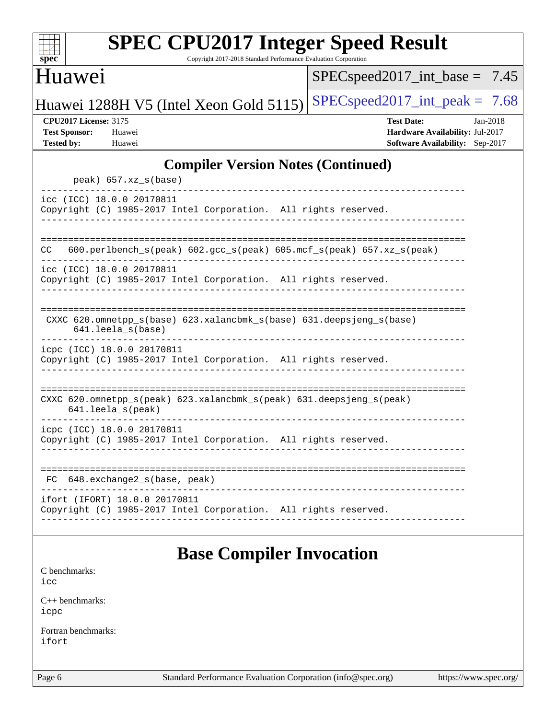| s<br>æ<br>١, |  |  |  |  |  |  |  |
|--------------|--|--|--|--|--|--|--|

Copyright 2017-2018 Standard Performance Evaluation Corporation

## Huawei

[SPECspeed2017\\_int\\_base =](http://www.spec.org/auto/cpu2017/Docs/result-fields.html#SPECspeed2017intbase) 7.45

Huawei 1288H V5 (Intel Xeon Gold 5115) [SPECspeed2017\\_int\\_peak =](http://www.spec.org/auto/cpu2017/Docs/result-fields.html#SPECspeed2017intpeak)  $7.68$ 

**[CPU2017 License:](http://www.spec.org/auto/cpu2017/Docs/result-fields.html#CPU2017License)** 3175 **[Test Date:](http://www.spec.org/auto/cpu2017/Docs/result-fields.html#TestDate)** Jan-2018 **[Test Sponsor:](http://www.spec.org/auto/cpu2017/Docs/result-fields.html#TestSponsor)** Huawei **[Hardware Availability:](http://www.spec.org/auto/cpu2017/Docs/result-fields.html#HardwareAvailability)** Jul-2017 **[Tested by:](http://www.spec.org/auto/cpu2017/Docs/result-fields.html#Testedby)** Huawei **[Software Availability:](http://www.spec.org/auto/cpu2017/Docs/result-fields.html#SoftwareAvailability)** Sep-2017

### **[Compiler Version Notes \(Continued\)](http://www.spec.org/auto/cpu2017/Docs/result-fields.html#CompilerVersionNotes)**

| $peak)$ 657.xz_s(base)                                                                                         |
|----------------------------------------------------------------------------------------------------------------|
| icc (ICC) 18.0.0 20170811<br>Copyright (C) 1985-2017 Intel Corporation. All rights reserved.                   |
|                                                                                                                |
| 600.perlbench_s(peak) 602.gcc_s(peak) 605.mcf_s(peak) 657.xz_s(peak)<br>CC.                                    |
| icc (ICC) 18.0.0 20170811<br>Copyright (C) 1985-2017 Intel Corporation. All rights reserved.                   |
|                                                                                                                |
| CXXC $620$ . omnetpp $s(base)$ $623$ . xalancbmk $s(base)$ $631$ . deepsjeng $s(base)$<br>$641.$ leela_s(base) |
| icpc (ICC) 18.0.0 20170811<br>Copyright (C) 1985-2017 Intel Corporation. All rights reserved.                  |
|                                                                                                                |
| CXXC 620.omnetpp_s(peak) 623.xalancbmk_s(peak) 631.deepsjeng_s(peak)<br>$641.$ leela_s(peak)                   |
| icpc (ICC) 18.0.0 20170811<br>Copyright (C) 1985-2017 Intel Corporation. All rights reserved.                  |
|                                                                                                                |
| 648.exchange2_s(base, peak)<br>FC                                                                              |
| ifort (IFORT) 18.0.0 20170811<br>Copyright (C) 1985-2017 Intel Corporation. All rights reserved.               |
|                                                                                                                |

# **[Base Compiler Invocation](http://www.spec.org/auto/cpu2017/Docs/result-fields.html#BaseCompilerInvocation)**

[C benchmarks](http://www.spec.org/auto/cpu2017/Docs/result-fields.html#Cbenchmarks): [icc](http://www.spec.org/cpu2017/results/res2018q1/cpu2017-20180127-03109.flags.html#user_CCbase_intel_icc_18.0_66fc1ee009f7361af1fbd72ca7dcefbb700085f36577c54f309893dd4ec40d12360134090235512931783d35fd58c0460139e722d5067c5574d8eaf2b3e37e92)

[C++ benchmarks:](http://www.spec.org/auto/cpu2017/Docs/result-fields.html#CXXbenchmarks) [icpc](http://www.spec.org/cpu2017/results/res2018q1/cpu2017-20180127-03109.flags.html#user_CXXbase_intel_icpc_18.0_c510b6838c7f56d33e37e94d029a35b4a7bccf4766a728ee175e80a419847e808290a9b78be685c44ab727ea267ec2f070ec5dc83b407c0218cded6866a35d07)

[Fortran benchmarks](http://www.spec.org/auto/cpu2017/Docs/result-fields.html#Fortranbenchmarks): [ifort](http://www.spec.org/cpu2017/results/res2018q1/cpu2017-20180127-03109.flags.html#user_FCbase_intel_ifort_18.0_8111460550e3ca792625aed983ce982f94888b8b503583aa7ba2b8303487b4d8a21a13e7191a45c5fd58ff318f48f9492884d4413fa793fd88dd292cad7027ca)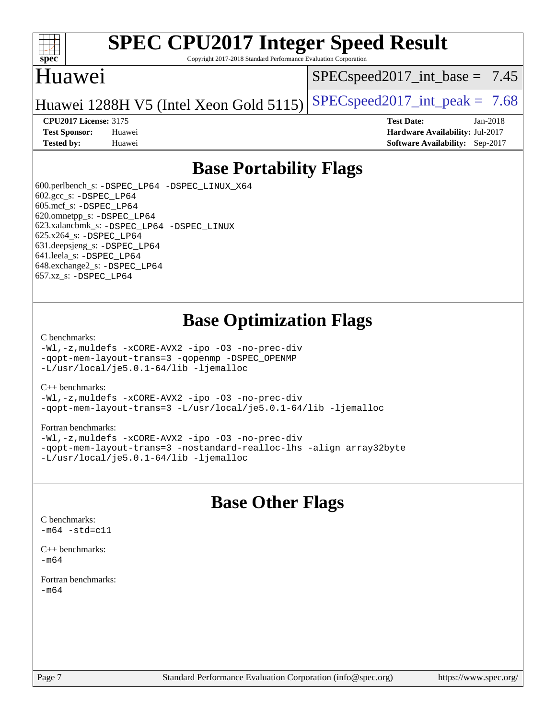

Copyright 2017-2018 Standard Performance Evaluation Corporation

## Huawei

 $SPECspeed2017\_int\_base = 7.45$ 

Huawei 1288H V5 (Intel Xeon Gold 5115) [SPECspeed2017\\_int\\_peak =](http://www.spec.org/auto/cpu2017/Docs/result-fields.html#SPECspeed2017intpeak)  $7.68$ 

**[CPU2017 License:](http://www.spec.org/auto/cpu2017/Docs/result-fields.html#CPU2017License)** 3175 **[Test Date:](http://www.spec.org/auto/cpu2017/Docs/result-fields.html#TestDate)** Jan-2018 **[Test Sponsor:](http://www.spec.org/auto/cpu2017/Docs/result-fields.html#TestSponsor)** Huawei **[Hardware Availability:](http://www.spec.org/auto/cpu2017/Docs/result-fields.html#HardwareAvailability)** Jul-2017 **[Tested by:](http://www.spec.org/auto/cpu2017/Docs/result-fields.html#Testedby)** Huawei **[Software Availability:](http://www.spec.org/auto/cpu2017/Docs/result-fields.html#SoftwareAvailability)** Sep-2017

## **[Base Portability Flags](http://www.spec.org/auto/cpu2017/Docs/result-fields.html#BasePortabilityFlags)**

 600.perlbench\_s: [-DSPEC\\_LP64](http://www.spec.org/cpu2017/results/res2018q1/cpu2017-20180127-03109.flags.html#b600.perlbench_s_basePORTABILITY_DSPEC_LP64) [-DSPEC\\_LINUX\\_X64](http://www.spec.org/cpu2017/results/res2018q1/cpu2017-20180127-03109.flags.html#b600.perlbench_s_baseCPORTABILITY_DSPEC_LINUX_X64) 602.gcc\_s: [-DSPEC\\_LP64](http://www.spec.org/cpu2017/results/res2018q1/cpu2017-20180127-03109.flags.html#suite_basePORTABILITY602_gcc_s_DSPEC_LP64) 605.mcf\_s: [-DSPEC\\_LP64](http://www.spec.org/cpu2017/results/res2018q1/cpu2017-20180127-03109.flags.html#suite_basePORTABILITY605_mcf_s_DSPEC_LP64) 620.omnetpp\_s: [-DSPEC\\_LP64](http://www.spec.org/cpu2017/results/res2018q1/cpu2017-20180127-03109.flags.html#suite_basePORTABILITY620_omnetpp_s_DSPEC_LP64) 623.xalancbmk\_s: [-DSPEC\\_LP64](http://www.spec.org/cpu2017/results/res2018q1/cpu2017-20180127-03109.flags.html#suite_basePORTABILITY623_xalancbmk_s_DSPEC_LP64) [-DSPEC\\_LINUX](http://www.spec.org/cpu2017/results/res2018q1/cpu2017-20180127-03109.flags.html#b623.xalancbmk_s_baseCXXPORTABILITY_DSPEC_LINUX) 625.x264\_s: [-DSPEC\\_LP64](http://www.spec.org/cpu2017/results/res2018q1/cpu2017-20180127-03109.flags.html#suite_basePORTABILITY625_x264_s_DSPEC_LP64) 631.deepsjeng\_s: [-DSPEC\\_LP64](http://www.spec.org/cpu2017/results/res2018q1/cpu2017-20180127-03109.flags.html#suite_basePORTABILITY631_deepsjeng_s_DSPEC_LP64) 641.leela\_s: [-DSPEC\\_LP64](http://www.spec.org/cpu2017/results/res2018q1/cpu2017-20180127-03109.flags.html#suite_basePORTABILITY641_leela_s_DSPEC_LP64) 648.exchange2\_s: [-DSPEC\\_LP64](http://www.spec.org/cpu2017/results/res2018q1/cpu2017-20180127-03109.flags.html#suite_basePORTABILITY648_exchange2_s_DSPEC_LP64) 657.xz\_s: [-DSPEC\\_LP64](http://www.spec.org/cpu2017/results/res2018q1/cpu2017-20180127-03109.flags.html#suite_basePORTABILITY657_xz_s_DSPEC_LP64)

## **[Base Optimization Flags](http://www.spec.org/auto/cpu2017/Docs/result-fields.html#BaseOptimizationFlags)**

#### [C benchmarks](http://www.spec.org/auto/cpu2017/Docs/result-fields.html#Cbenchmarks):

[-Wl,-z,muldefs](http://www.spec.org/cpu2017/results/res2018q1/cpu2017-20180127-03109.flags.html#user_CCbase_link_force_multiple1_b4cbdb97b34bdee9ceefcfe54f4c8ea74255f0b02a4b23e853cdb0e18eb4525ac79b5a88067c842dd0ee6996c24547a27a4b99331201badda8798ef8a743f577) [-xCORE-AVX2](http://www.spec.org/cpu2017/results/res2018q1/cpu2017-20180127-03109.flags.html#user_CCbase_f-xCORE-AVX2) [-ipo](http://www.spec.org/cpu2017/results/res2018q1/cpu2017-20180127-03109.flags.html#user_CCbase_f-ipo) [-O3](http://www.spec.org/cpu2017/results/res2018q1/cpu2017-20180127-03109.flags.html#user_CCbase_f-O3) [-no-prec-div](http://www.spec.org/cpu2017/results/res2018q1/cpu2017-20180127-03109.flags.html#user_CCbase_f-no-prec-div) [-qopt-mem-layout-trans=3](http://www.spec.org/cpu2017/results/res2018q1/cpu2017-20180127-03109.flags.html#user_CCbase_f-qopt-mem-layout-trans_de80db37974c74b1f0e20d883f0b675c88c3b01e9d123adea9b28688d64333345fb62bc4a798493513fdb68f60282f9a726aa07f478b2f7113531aecce732043) [-qopenmp](http://www.spec.org/cpu2017/results/res2018q1/cpu2017-20180127-03109.flags.html#user_CCbase_qopenmp_16be0c44f24f464004c6784a7acb94aca937f053568ce72f94b139a11c7c168634a55f6653758ddd83bcf7b8463e8028bb0b48b77bcddc6b78d5d95bb1df2967) [-DSPEC\\_OPENMP](http://www.spec.org/cpu2017/results/res2018q1/cpu2017-20180127-03109.flags.html#suite_CCbase_DSPEC_OPENMP) [-L/usr/local/je5.0.1-64/lib](http://www.spec.org/cpu2017/results/res2018q1/cpu2017-20180127-03109.flags.html#user_CCbase_jemalloc_link_path64_4b10a636b7bce113509b17f3bd0d6226c5fb2346b9178c2d0232c14f04ab830f976640479e5c33dc2bcbbdad86ecfb6634cbbd4418746f06f368b512fced5394) [-ljemalloc](http://www.spec.org/cpu2017/results/res2018q1/cpu2017-20180127-03109.flags.html#user_CCbase_jemalloc_link_lib_d1249b907c500fa1c0672f44f562e3d0f79738ae9e3c4a9c376d49f265a04b9c99b167ecedbf6711b3085be911c67ff61f150a17b3472be731631ba4d0471706)

#### [C++ benchmarks:](http://www.spec.org/auto/cpu2017/Docs/result-fields.html#CXXbenchmarks)

[-Wl,-z,muldefs](http://www.spec.org/cpu2017/results/res2018q1/cpu2017-20180127-03109.flags.html#user_CXXbase_link_force_multiple1_b4cbdb97b34bdee9ceefcfe54f4c8ea74255f0b02a4b23e853cdb0e18eb4525ac79b5a88067c842dd0ee6996c24547a27a4b99331201badda8798ef8a743f577) [-xCORE-AVX2](http://www.spec.org/cpu2017/results/res2018q1/cpu2017-20180127-03109.flags.html#user_CXXbase_f-xCORE-AVX2) [-ipo](http://www.spec.org/cpu2017/results/res2018q1/cpu2017-20180127-03109.flags.html#user_CXXbase_f-ipo) [-O3](http://www.spec.org/cpu2017/results/res2018q1/cpu2017-20180127-03109.flags.html#user_CXXbase_f-O3) [-no-prec-div](http://www.spec.org/cpu2017/results/res2018q1/cpu2017-20180127-03109.flags.html#user_CXXbase_f-no-prec-div) [-qopt-mem-layout-trans=3](http://www.spec.org/cpu2017/results/res2018q1/cpu2017-20180127-03109.flags.html#user_CXXbase_f-qopt-mem-layout-trans_de80db37974c74b1f0e20d883f0b675c88c3b01e9d123adea9b28688d64333345fb62bc4a798493513fdb68f60282f9a726aa07f478b2f7113531aecce732043) [-L/usr/local/je5.0.1-64/lib](http://www.spec.org/cpu2017/results/res2018q1/cpu2017-20180127-03109.flags.html#user_CXXbase_jemalloc_link_path64_4b10a636b7bce113509b17f3bd0d6226c5fb2346b9178c2d0232c14f04ab830f976640479e5c33dc2bcbbdad86ecfb6634cbbd4418746f06f368b512fced5394) [-ljemalloc](http://www.spec.org/cpu2017/results/res2018q1/cpu2017-20180127-03109.flags.html#user_CXXbase_jemalloc_link_lib_d1249b907c500fa1c0672f44f562e3d0f79738ae9e3c4a9c376d49f265a04b9c99b167ecedbf6711b3085be911c67ff61f150a17b3472be731631ba4d0471706)

#### [Fortran benchmarks](http://www.spec.org/auto/cpu2017/Docs/result-fields.html#Fortranbenchmarks):

[-Wl,-z,muldefs](http://www.spec.org/cpu2017/results/res2018q1/cpu2017-20180127-03109.flags.html#user_FCbase_link_force_multiple1_b4cbdb97b34bdee9ceefcfe54f4c8ea74255f0b02a4b23e853cdb0e18eb4525ac79b5a88067c842dd0ee6996c24547a27a4b99331201badda8798ef8a743f577) [-xCORE-AVX2](http://www.spec.org/cpu2017/results/res2018q1/cpu2017-20180127-03109.flags.html#user_FCbase_f-xCORE-AVX2) [-ipo](http://www.spec.org/cpu2017/results/res2018q1/cpu2017-20180127-03109.flags.html#user_FCbase_f-ipo) [-O3](http://www.spec.org/cpu2017/results/res2018q1/cpu2017-20180127-03109.flags.html#user_FCbase_f-O3) [-no-prec-div](http://www.spec.org/cpu2017/results/res2018q1/cpu2017-20180127-03109.flags.html#user_FCbase_f-no-prec-div) [-qopt-mem-layout-trans=3](http://www.spec.org/cpu2017/results/res2018q1/cpu2017-20180127-03109.flags.html#user_FCbase_f-qopt-mem-layout-trans_de80db37974c74b1f0e20d883f0b675c88c3b01e9d123adea9b28688d64333345fb62bc4a798493513fdb68f60282f9a726aa07f478b2f7113531aecce732043) [-nostandard-realloc-lhs](http://www.spec.org/cpu2017/results/res2018q1/cpu2017-20180127-03109.flags.html#user_FCbase_f_2003_std_realloc_82b4557e90729c0f113870c07e44d33d6f5a304b4f63d4c15d2d0f1fab99f5daaed73bdb9275d9ae411527f28b936061aa8b9c8f2d63842963b95c9dd6426b8a) [-align array32byte](http://www.spec.org/cpu2017/results/res2018q1/cpu2017-20180127-03109.flags.html#user_FCbase_align_array32byte_b982fe038af199962ba9a80c053b8342c548c85b40b8e86eb3cc33dee0d7986a4af373ac2d51c3f7cf710a18d62fdce2948f201cd044323541f22fc0fffc51b6) [-L/usr/local/je5.0.1-64/lib](http://www.spec.org/cpu2017/results/res2018q1/cpu2017-20180127-03109.flags.html#user_FCbase_jemalloc_link_path64_4b10a636b7bce113509b17f3bd0d6226c5fb2346b9178c2d0232c14f04ab830f976640479e5c33dc2bcbbdad86ecfb6634cbbd4418746f06f368b512fced5394) [-ljemalloc](http://www.spec.org/cpu2017/results/res2018q1/cpu2017-20180127-03109.flags.html#user_FCbase_jemalloc_link_lib_d1249b907c500fa1c0672f44f562e3d0f79738ae9e3c4a9c376d49f265a04b9c99b167ecedbf6711b3085be911c67ff61f150a17b3472be731631ba4d0471706)

## **[Base Other Flags](http://www.spec.org/auto/cpu2017/Docs/result-fields.html#BaseOtherFlags)**

[C benchmarks](http://www.spec.org/auto/cpu2017/Docs/result-fields.html#Cbenchmarks):  $-m64 - std= c11$  $-m64 - std= c11$ 

[C++ benchmarks:](http://www.spec.org/auto/cpu2017/Docs/result-fields.html#CXXbenchmarks) [-m64](http://www.spec.org/cpu2017/results/res2018q1/cpu2017-20180127-03109.flags.html#user_CXXbase_intel_intel64_18.0_af43caccfc8ded86e7699f2159af6efc7655f51387b94da716254467f3c01020a5059329e2569e4053f409e7c9202a7efc638f7a6d1ffb3f52dea4a3e31d82ab)

[Fortran benchmarks](http://www.spec.org/auto/cpu2017/Docs/result-fields.html#Fortranbenchmarks): [-m64](http://www.spec.org/cpu2017/results/res2018q1/cpu2017-20180127-03109.flags.html#user_FCbase_intel_intel64_18.0_af43caccfc8ded86e7699f2159af6efc7655f51387b94da716254467f3c01020a5059329e2569e4053f409e7c9202a7efc638f7a6d1ffb3f52dea4a3e31d82ab)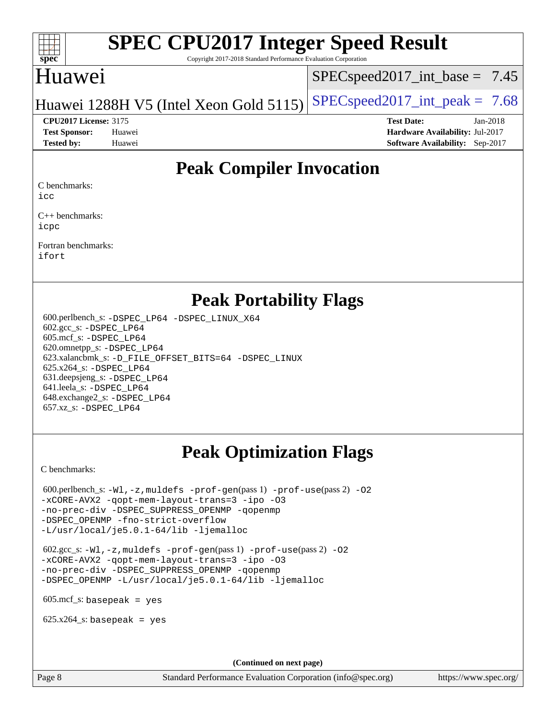

Copyright 2017-2018 Standard Performance Evaluation Corporation

## Huawei

 $SPECspeed2017\_int\_base = 7.45$ 

Huawei 1288H V5 (Intel Xeon Gold 5115) SPECspeed 2017\_int\_peak =  $7.68$ 

**[Tested by:](http://www.spec.org/auto/cpu2017/Docs/result-fields.html#Testedby)** Huawei **[Software Availability:](http://www.spec.org/auto/cpu2017/Docs/result-fields.html#SoftwareAvailability)** Sep-2017

**[CPU2017 License:](http://www.spec.org/auto/cpu2017/Docs/result-fields.html#CPU2017License)** 3175 **[Test Date:](http://www.spec.org/auto/cpu2017/Docs/result-fields.html#TestDate)** Jan-2018 **[Test Sponsor:](http://www.spec.org/auto/cpu2017/Docs/result-fields.html#TestSponsor)** Huawei **[Hardware Availability:](http://www.spec.org/auto/cpu2017/Docs/result-fields.html#HardwareAvailability)** Jul-2017

# **[Peak Compiler Invocation](http://www.spec.org/auto/cpu2017/Docs/result-fields.html#PeakCompilerInvocation)**

[C benchmarks](http://www.spec.org/auto/cpu2017/Docs/result-fields.html#Cbenchmarks):

[icc](http://www.spec.org/cpu2017/results/res2018q1/cpu2017-20180127-03109.flags.html#user_CCpeak_intel_icc_18.0_66fc1ee009f7361af1fbd72ca7dcefbb700085f36577c54f309893dd4ec40d12360134090235512931783d35fd58c0460139e722d5067c5574d8eaf2b3e37e92)

[C++ benchmarks:](http://www.spec.org/auto/cpu2017/Docs/result-fields.html#CXXbenchmarks) [icpc](http://www.spec.org/cpu2017/results/res2018q1/cpu2017-20180127-03109.flags.html#user_CXXpeak_intel_icpc_18.0_c510b6838c7f56d33e37e94d029a35b4a7bccf4766a728ee175e80a419847e808290a9b78be685c44ab727ea267ec2f070ec5dc83b407c0218cded6866a35d07)

[Fortran benchmarks](http://www.spec.org/auto/cpu2017/Docs/result-fields.html#Fortranbenchmarks): [ifort](http://www.spec.org/cpu2017/results/res2018q1/cpu2017-20180127-03109.flags.html#user_FCpeak_intel_ifort_18.0_8111460550e3ca792625aed983ce982f94888b8b503583aa7ba2b8303487b4d8a21a13e7191a45c5fd58ff318f48f9492884d4413fa793fd88dd292cad7027ca)

### **[Peak Portability Flags](http://www.spec.org/auto/cpu2017/Docs/result-fields.html#PeakPortabilityFlags)**

 600.perlbench\_s: [-DSPEC\\_LP64](http://www.spec.org/cpu2017/results/res2018q1/cpu2017-20180127-03109.flags.html#b600.perlbench_s_peakPORTABILITY_DSPEC_LP64) [-DSPEC\\_LINUX\\_X64](http://www.spec.org/cpu2017/results/res2018q1/cpu2017-20180127-03109.flags.html#b600.perlbench_s_peakCPORTABILITY_DSPEC_LINUX_X64) 602.gcc\_s: [-DSPEC\\_LP64](http://www.spec.org/cpu2017/results/res2018q1/cpu2017-20180127-03109.flags.html#suite_peakPORTABILITY602_gcc_s_DSPEC_LP64) 605.mcf\_s: [-DSPEC\\_LP64](http://www.spec.org/cpu2017/results/res2018q1/cpu2017-20180127-03109.flags.html#suite_peakPORTABILITY605_mcf_s_DSPEC_LP64) 620.omnetpp\_s: [-DSPEC\\_LP64](http://www.spec.org/cpu2017/results/res2018q1/cpu2017-20180127-03109.flags.html#suite_peakPORTABILITY620_omnetpp_s_DSPEC_LP64) 623.xalancbmk\_s: [-D\\_FILE\\_OFFSET\\_BITS=64](http://www.spec.org/cpu2017/results/res2018q1/cpu2017-20180127-03109.flags.html#user_peakPORTABILITY623_xalancbmk_s_file_offset_bits_64_5ae949a99b284ddf4e95728d47cb0843d81b2eb0e18bdfe74bbf0f61d0b064f4bda2f10ea5eb90e1dcab0e84dbc592acfc5018bc955c18609f94ddb8d550002c) [-DSPEC\\_LINUX](http://www.spec.org/cpu2017/results/res2018q1/cpu2017-20180127-03109.flags.html#b623.xalancbmk_s_peakCXXPORTABILITY_DSPEC_LINUX) 625.x264\_s: [-DSPEC\\_LP64](http://www.spec.org/cpu2017/results/res2018q1/cpu2017-20180127-03109.flags.html#suite_peakPORTABILITY625_x264_s_DSPEC_LP64) 631.deepsjeng\_s: [-DSPEC\\_LP64](http://www.spec.org/cpu2017/results/res2018q1/cpu2017-20180127-03109.flags.html#suite_peakPORTABILITY631_deepsjeng_s_DSPEC_LP64) 641.leela\_s: [-DSPEC\\_LP64](http://www.spec.org/cpu2017/results/res2018q1/cpu2017-20180127-03109.flags.html#suite_peakPORTABILITY641_leela_s_DSPEC_LP64) 648.exchange2\_s: [-DSPEC\\_LP64](http://www.spec.org/cpu2017/results/res2018q1/cpu2017-20180127-03109.flags.html#suite_peakPORTABILITY648_exchange2_s_DSPEC_LP64) 657.xz\_s: [-DSPEC\\_LP64](http://www.spec.org/cpu2017/results/res2018q1/cpu2017-20180127-03109.flags.html#suite_peakPORTABILITY657_xz_s_DSPEC_LP64)

# **[Peak Optimization Flags](http://www.spec.org/auto/cpu2017/Docs/result-fields.html#PeakOptimizationFlags)**

[C benchmarks](http://www.spec.org/auto/cpu2017/Docs/result-fields.html#Cbenchmarks):

600.perlbench\_s:  $-W1$ , -z, muldefs [-prof-gen](http://www.spec.org/cpu2017/results/res2018q1/cpu2017-20180127-03109.flags.html#user_peakPASS1_CFLAGSPASS1_LDFLAGS600_perlbench_s_prof_gen_5aa4926d6013ddb2a31985c654b3eb18169fc0c6952a63635c234f711e6e63dd76e94ad52365559451ec499a2cdb89e4dc58ba4c67ef54ca681ffbe1461d6b36)(pass 1) [-prof-use](http://www.spec.org/cpu2017/results/res2018q1/cpu2017-20180127-03109.flags.html#user_peakPASS2_CFLAGSPASS2_LDFLAGS600_perlbench_s_prof_use_1a21ceae95f36a2b53c25747139a6c16ca95bd9def2a207b4f0849963b97e94f5260e30a0c64f4bb623698870e679ca08317ef8150905d41bd88c6f78df73f19)(pass 2) -02 [-xCORE-AVX2](http://www.spec.org/cpu2017/results/res2018q1/cpu2017-20180127-03109.flags.html#user_peakPASS2_COPTIMIZE600_perlbench_s_f-xCORE-AVX2) [-qopt-mem-layout-trans=3](http://www.spec.org/cpu2017/results/res2018q1/cpu2017-20180127-03109.flags.html#user_peakPASS1_COPTIMIZEPASS2_COPTIMIZE600_perlbench_s_f-qopt-mem-layout-trans_de80db37974c74b1f0e20d883f0b675c88c3b01e9d123adea9b28688d64333345fb62bc4a798493513fdb68f60282f9a726aa07f478b2f7113531aecce732043) [-ipo](http://www.spec.org/cpu2017/results/res2018q1/cpu2017-20180127-03109.flags.html#user_peakPASS2_COPTIMIZE600_perlbench_s_f-ipo) [-O3](http://www.spec.org/cpu2017/results/res2018q1/cpu2017-20180127-03109.flags.html#user_peakPASS2_COPTIMIZE600_perlbench_s_f-O3) [-no-prec-div](http://www.spec.org/cpu2017/results/res2018q1/cpu2017-20180127-03109.flags.html#user_peakPASS2_COPTIMIZE600_perlbench_s_f-no-prec-div) [-DSPEC\\_SUPPRESS\\_OPENMP](http://www.spec.org/cpu2017/results/res2018q1/cpu2017-20180127-03109.flags.html#suite_peakPASS1_COPTIMIZE600_perlbench_s_DSPEC_SUPPRESS_OPENMP) [-qopenmp](http://www.spec.org/cpu2017/results/res2018q1/cpu2017-20180127-03109.flags.html#user_peakPASS2_COPTIMIZE600_perlbench_s_qopenmp_16be0c44f24f464004c6784a7acb94aca937f053568ce72f94b139a11c7c168634a55f6653758ddd83bcf7b8463e8028bb0b48b77bcddc6b78d5d95bb1df2967) [-DSPEC\\_OPENMP](http://www.spec.org/cpu2017/results/res2018q1/cpu2017-20180127-03109.flags.html#suite_peakPASS2_COPTIMIZE600_perlbench_s_DSPEC_OPENMP) [-fno-strict-overflow](http://www.spec.org/cpu2017/results/res2018q1/cpu2017-20180127-03109.flags.html#user_peakEXTRA_OPTIMIZE600_perlbench_s_f-fno-strict-overflow) [-L/usr/local/je5.0.1-64/lib](http://www.spec.org/cpu2017/results/res2018q1/cpu2017-20180127-03109.flags.html#user_peakEXTRA_LIBS600_perlbench_s_jemalloc_link_path64_4b10a636b7bce113509b17f3bd0d6226c5fb2346b9178c2d0232c14f04ab830f976640479e5c33dc2bcbbdad86ecfb6634cbbd4418746f06f368b512fced5394) [-ljemalloc](http://www.spec.org/cpu2017/results/res2018q1/cpu2017-20180127-03109.flags.html#user_peakEXTRA_LIBS600_perlbench_s_jemalloc_link_lib_d1249b907c500fa1c0672f44f562e3d0f79738ae9e3c4a9c376d49f265a04b9c99b167ecedbf6711b3085be911c67ff61f150a17b3472be731631ba4d0471706)

 602.gcc\_s: [-Wl,-z,muldefs](http://www.spec.org/cpu2017/results/res2018q1/cpu2017-20180127-03109.flags.html#user_peakEXTRA_LDFLAGS602_gcc_s_link_force_multiple1_b4cbdb97b34bdee9ceefcfe54f4c8ea74255f0b02a4b23e853cdb0e18eb4525ac79b5a88067c842dd0ee6996c24547a27a4b99331201badda8798ef8a743f577) [-prof-gen](http://www.spec.org/cpu2017/results/res2018q1/cpu2017-20180127-03109.flags.html#user_peakPASS1_CFLAGSPASS1_LDFLAGS602_gcc_s_prof_gen_5aa4926d6013ddb2a31985c654b3eb18169fc0c6952a63635c234f711e6e63dd76e94ad52365559451ec499a2cdb89e4dc58ba4c67ef54ca681ffbe1461d6b36)(pass 1) [-prof-use](http://www.spec.org/cpu2017/results/res2018q1/cpu2017-20180127-03109.flags.html#user_peakPASS2_CFLAGSPASS2_LDFLAGS602_gcc_s_prof_use_1a21ceae95f36a2b53c25747139a6c16ca95bd9def2a207b4f0849963b97e94f5260e30a0c64f4bb623698870e679ca08317ef8150905d41bd88c6f78df73f19)(pass 2) [-O2](http://www.spec.org/cpu2017/results/res2018q1/cpu2017-20180127-03109.flags.html#user_peakPASS1_COPTIMIZE602_gcc_s_f-O2) [-xCORE-AVX2](http://www.spec.org/cpu2017/results/res2018q1/cpu2017-20180127-03109.flags.html#user_peakPASS2_COPTIMIZE602_gcc_s_f-xCORE-AVX2) [-qopt-mem-layout-trans=3](http://www.spec.org/cpu2017/results/res2018q1/cpu2017-20180127-03109.flags.html#user_peakPASS1_COPTIMIZEPASS2_COPTIMIZE602_gcc_s_f-qopt-mem-layout-trans_de80db37974c74b1f0e20d883f0b675c88c3b01e9d123adea9b28688d64333345fb62bc4a798493513fdb68f60282f9a726aa07f478b2f7113531aecce732043) [-ipo](http://www.spec.org/cpu2017/results/res2018q1/cpu2017-20180127-03109.flags.html#user_peakPASS2_COPTIMIZE602_gcc_s_f-ipo) [-O3](http://www.spec.org/cpu2017/results/res2018q1/cpu2017-20180127-03109.flags.html#user_peakPASS2_COPTIMIZE602_gcc_s_f-O3) [-no-prec-div](http://www.spec.org/cpu2017/results/res2018q1/cpu2017-20180127-03109.flags.html#user_peakPASS2_COPTIMIZE602_gcc_s_f-no-prec-div) [-DSPEC\\_SUPPRESS\\_OPENMP](http://www.spec.org/cpu2017/results/res2018q1/cpu2017-20180127-03109.flags.html#suite_peakPASS1_COPTIMIZE602_gcc_s_DSPEC_SUPPRESS_OPENMP) [-qopenmp](http://www.spec.org/cpu2017/results/res2018q1/cpu2017-20180127-03109.flags.html#user_peakPASS2_COPTIMIZE602_gcc_s_qopenmp_16be0c44f24f464004c6784a7acb94aca937f053568ce72f94b139a11c7c168634a55f6653758ddd83bcf7b8463e8028bb0b48b77bcddc6b78d5d95bb1df2967) [-DSPEC\\_OPENMP](http://www.spec.org/cpu2017/results/res2018q1/cpu2017-20180127-03109.flags.html#suite_peakPASS2_COPTIMIZE602_gcc_s_DSPEC_OPENMP) [-L/usr/local/je5.0.1-64/lib](http://www.spec.org/cpu2017/results/res2018q1/cpu2017-20180127-03109.flags.html#user_peakEXTRA_LIBS602_gcc_s_jemalloc_link_path64_4b10a636b7bce113509b17f3bd0d6226c5fb2346b9178c2d0232c14f04ab830f976640479e5c33dc2bcbbdad86ecfb6634cbbd4418746f06f368b512fced5394) [-ljemalloc](http://www.spec.org/cpu2017/results/res2018q1/cpu2017-20180127-03109.flags.html#user_peakEXTRA_LIBS602_gcc_s_jemalloc_link_lib_d1249b907c500fa1c0672f44f562e3d0f79738ae9e3c4a9c376d49f265a04b9c99b167ecedbf6711b3085be911c67ff61f150a17b3472be731631ba4d0471706)

 $605 \text{.mcf}\text{-}\mathrm{s}$ : basepeak = yes

 $625.x264_s$ : basepeak = yes

**(Continued on next page)**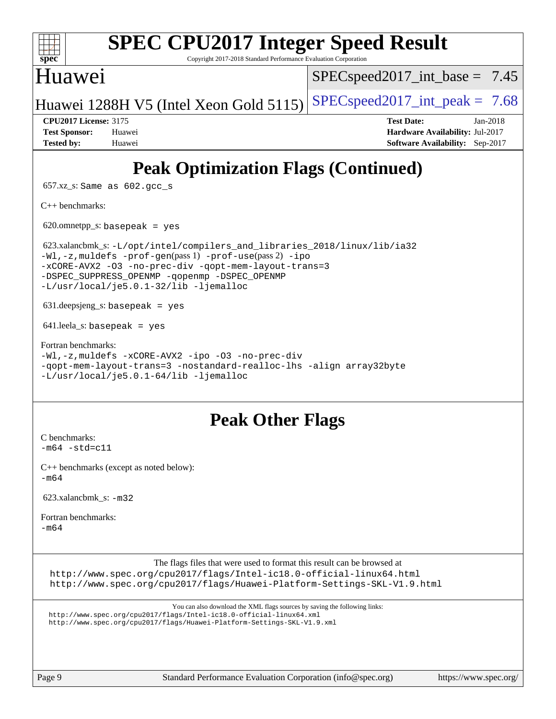|  | spec |  |  |
|--|------|--|--|

Copyright 2017-2018 Standard Performance Evaluation Corporation

# Huawei

 $SPECspeed2017\_int\_base = 7.45$ 

Huawei 1288H V5 (Intel Xeon Gold 5115) SPECspeed 2017\_int\_peak =  $7.68$ 

**[CPU2017 License:](http://www.spec.org/auto/cpu2017/Docs/result-fields.html#CPU2017License)** 3175 **[Test Date:](http://www.spec.org/auto/cpu2017/Docs/result-fields.html#TestDate)** Jan-2018 **[Test Sponsor:](http://www.spec.org/auto/cpu2017/Docs/result-fields.html#TestSponsor)** Huawei **[Hardware Availability:](http://www.spec.org/auto/cpu2017/Docs/result-fields.html#HardwareAvailability)** Jul-2017 **[Tested by:](http://www.spec.org/auto/cpu2017/Docs/result-fields.html#Testedby)** Huawei **[Software Availability:](http://www.spec.org/auto/cpu2017/Docs/result-fields.html#SoftwareAvailability)** Sep-2017

# **[Peak Optimization Flags \(Continued\)](http://www.spec.org/auto/cpu2017/Docs/result-fields.html#PeakOptimizationFlags)**

657.xz\_s: Same as 602.gcc\_s

[C++ benchmarks:](http://www.spec.org/auto/cpu2017/Docs/result-fields.html#CXXbenchmarks)

 $620.$ omnetpp\_s: basepeak = yes

 623.xalancbmk\_s: [-L/opt/intel/compilers\\_and\\_libraries\\_2018/linux/lib/ia32](http://www.spec.org/cpu2017/results/res2018q1/cpu2017-20180127-03109.flags.html#user_peakCXXLD623_xalancbmk_s_Enable-32bit-runtime_af243bdb1d79e4c7a4f720bf8275e627de2ecd461de63307bc14cef0633fde3cd7bb2facb32dcc8be9566045fb55d40ce2b72b725f73827aa7833441b71b9343) [-Wl,-z,muldefs](http://www.spec.org/cpu2017/results/res2018q1/cpu2017-20180127-03109.flags.html#user_peakEXTRA_LDFLAGS623_xalancbmk_s_link_force_multiple1_b4cbdb97b34bdee9ceefcfe54f4c8ea74255f0b02a4b23e853cdb0e18eb4525ac79b5a88067c842dd0ee6996c24547a27a4b99331201badda8798ef8a743f577) [-prof-gen](http://www.spec.org/cpu2017/results/res2018q1/cpu2017-20180127-03109.flags.html#user_peakPASS1_CXXFLAGSPASS1_LDFLAGS623_xalancbmk_s_prof_gen_5aa4926d6013ddb2a31985c654b3eb18169fc0c6952a63635c234f711e6e63dd76e94ad52365559451ec499a2cdb89e4dc58ba4c67ef54ca681ffbe1461d6b36)(pass 1) [-prof-use](http://www.spec.org/cpu2017/results/res2018q1/cpu2017-20180127-03109.flags.html#user_peakPASS2_CXXFLAGSPASS2_LDFLAGS623_xalancbmk_s_prof_use_1a21ceae95f36a2b53c25747139a6c16ca95bd9def2a207b4f0849963b97e94f5260e30a0c64f4bb623698870e679ca08317ef8150905d41bd88c6f78df73f19)(pass 2) [-ipo](http://www.spec.org/cpu2017/results/res2018q1/cpu2017-20180127-03109.flags.html#user_peakPASS1_CXXOPTIMIZEPASS2_CXXOPTIMIZE623_xalancbmk_s_f-ipo) [-xCORE-AVX2](http://www.spec.org/cpu2017/results/res2018q1/cpu2017-20180127-03109.flags.html#user_peakPASS2_CXXOPTIMIZE623_xalancbmk_s_f-xCORE-AVX2) [-O3](http://www.spec.org/cpu2017/results/res2018q1/cpu2017-20180127-03109.flags.html#user_peakPASS1_CXXOPTIMIZEPASS2_CXXOPTIMIZE623_xalancbmk_s_f-O3) [-no-prec-div](http://www.spec.org/cpu2017/results/res2018q1/cpu2017-20180127-03109.flags.html#user_peakPASS1_CXXOPTIMIZEPASS2_CXXOPTIMIZE623_xalancbmk_s_f-no-prec-div) [-qopt-mem-layout-trans=3](http://www.spec.org/cpu2017/results/res2018q1/cpu2017-20180127-03109.flags.html#user_peakPASS1_CXXOPTIMIZEPASS2_CXXOPTIMIZE623_xalancbmk_s_f-qopt-mem-layout-trans_de80db37974c74b1f0e20d883f0b675c88c3b01e9d123adea9b28688d64333345fb62bc4a798493513fdb68f60282f9a726aa07f478b2f7113531aecce732043) [-DSPEC\\_SUPPRESS\\_OPENMP](http://www.spec.org/cpu2017/results/res2018q1/cpu2017-20180127-03109.flags.html#suite_peakPASS1_CXXOPTIMIZE623_xalancbmk_s_DSPEC_SUPPRESS_OPENMP) [-qopenmp](http://www.spec.org/cpu2017/results/res2018q1/cpu2017-20180127-03109.flags.html#user_peakPASS2_CXXOPTIMIZE623_xalancbmk_s_qopenmp_16be0c44f24f464004c6784a7acb94aca937f053568ce72f94b139a11c7c168634a55f6653758ddd83bcf7b8463e8028bb0b48b77bcddc6b78d5d95bb1df2967) [-DSPEC\\_OPENMP](http://www.spec.org/cpu2017/results/res2018q1/cpu2017-20180127-03109.flags.html#suite_peakPASS2_CXXOPTIMIZE623_xalancbmk_s_DSPEC_OPENMP) [-L/usr/local/je5.0.1-32/lib](http://www.spec.org/cpu2017/results/res2018q1/cpu2017-20180127-03109.flags.html#user_peakEXTRA_LIBS623_xalancbmk_s_jemalloc_link_path32_e29f22e8e6c17053bbc6a0971f5a9c01a601a06bb1a59df2084b77a2fe0a2995b64fd4256feaeea39eeba3aae142e96e2b2b0a28974019c0c0c88139a84f900a) [-ljemalloc](http://www.spec.org/cpu2017/results/res2018q1/cpu2017-20180127-03109.flags.html#user_peakEXTRA_LIBS623_xalancbmk_s_jemalloc_link_lib_d1249b907c500fa1c0672f44f562e3d0f79738ae9e3c4a9c376d49f265a04b9c99b167ecedbf6711b3085be911c67ff61f150a17b3472be731631ba4d0471706)

631.deepsjeng\_s: basepeak = yes

641. leela s: basepeak = yes

[Fortran benchmarks](http://www.spec.org/auto/cpu2017/Docs/result-fields.html#Fortranbenchmarks): [-Wl,-z,muldefs](http://www.spec.org/cpu2017/results/res2018q1/cpu2017-20180127-03109.flags.html#user_FCpeak_link_force_multiple1_b4cbdb97b34bdee9ceefcfe54f4c8ea74255f0b02a4b23e853cdb0e18eb4525ac79b5a88067c842dd0ee6996c24547a27a4b99331201badda8798ef8a743f577) [-xCORE-AVX2](http://www.spec.org/cpu2017/results/res2018q1/cpu2017-20180127-03109.flags.html#user_FCpeak_f-xCORE-AVX2) [-ipo](http://www.spec.org/cpu2017/results/res2018q1/cpu2017-20180127-03109.flags.html#user_FCpeak_f-ipo) [-O3](http://www.spec.org/cpu2017/results/res2018q1/cpu2017-20180127-03109.flags.html#user_FCpeak_f-O3) [-no-prec-div](http://www.spec.org/cpu2017/results/res2018q1/cpu2017-20180127-03109.flags.html#user_FCpeak_f-no-prec-div) [-qopt-mem-layout-trans=3](http://www.spec.org/cpu2017/results/res2018q1/cpu2017-20180127-03109.flags.html#user_FCpeak_f-qopt-mem-layout-trans_de80db37974c74b1f0e20d883f0b675c88c3b01e9d123adea9b28688d64333345fb62bc4a798493513fdb68f60282f9a726aa07f478b2f7113531aecce732043) [-nostandard-realloc-lhs](http://www.spec.org/cpu2017/results/res2018q1/cpu2017-20180127-03109.flags.html#user_FCpeak_f_2003_std_realloc_82b4557e90729c0f113870c07e44d33d6f5a304b4f63d4c15d2d0f1fab99f5daaed73bdb9275d9ae411527f28b936061aa8b9c8f2d63842963b95c9dd6426b8a) [-align array32byte](http://www.spec.org/cpu2017/results/res2018q1/cpu2017-20180127-03109.flags.html#user_FCpeak_align_array32byte_b982fe038af199962ba9a80c053b8342c548c85b40b8e86eb3cc33dee0d7986a4af373ac2d51c3f7cf710a18d62fdce2948f201cd044323541f22fc0fffc51b6) [-L/usr/local/je5.0.1-64/lib](http://www.spec.org/cpu2017/results/res2018q1/cpu2017-20180127-03109.flags.html#user_FCpeak_jemalloc_link_path64_4b10a636b7bce113509b17f3bd0d6226c5fb2346b9178c2d0232c14f04ab830f976640479e5c33dc2bcbbdad86ecfb6634cbbd4418746f06f368b512fced5394) [-ljemalloc](http://www.spec.org/cpu2017/results/res2018q1/cpu2017-20180127-03109.flags.html#user_FCpeak_jemalloc_link_lib_d1249b907c500fa1c0672f44f562e3d0f79738ae9e3c4a9c376d49f265a04b9c99b167ecedbf6711b3085be911c67ff61f150a17b3472be731631ba4d0471706)

## **[Peak Other Flags](http://www.spec.org/auto/cpu2017/Docs/result-fields.html#PeakOtherFlags)**

[C benchmarks](http://www.spec.org/auto/cpu2017/Docs/result-fields.html#Cbenchmarks):  $-m64 - std = c11$  $-m64 - std = c11$ 

[C++ benchmarks \(except as noted below\):](http://www.spec.org/auto/cpu2017/Docs/result-fields.html#CXXbenchmarksexceptasnotedbelow) [-m64](http://www.spec.org/cpu2017/results/res2018q1/cpu2017-20180127-03109.flags.html#user_CXXpeak_intel_intel64_18.0_af43caccfc8ded86e7699f2159af6efc7655f51387b94da716254467f3c01020a5059329e2569e4053f409e7c9202a7efc638f7a6d1ffb3f52dea4a3e31d82ab)

623.xalancbmk\_s: [-m32](http://www.spec.org/cpu2017/results/res2018q1/cpu2017-20180127-03109.flags.html#user_peakCXXLD623_xalancbmk_s_intel_ia32_18.0_2666f1173eb60787016b673bfe1358e27016ef7649ea4884b7bc6187fd89dc221d14632e22638cde1c647a518de97358ab15d4ad098ee4e19a8b28d0c25e14bf)

[Fortran benchmarks](http://www.spec.org/auto/cpu2017/Docs/result-fields.html#Fortranbenchmarks):

 $-m64$ 

The flags files that were used to format this result can be browsed at

<http://www.spec.org/cpu2017/flags/Intel-ic18.0-official-linux64.html> <http://www.spec.org/cpu2017/flags/Huawei-Platform-Settings-SKL-V1.9.html>

You can also download the XML flags sources by saving the following links:

<http://www.spec.org/cpu2017/flags/Intel-ic18.0-official-linux64.xml>

<http://www.spec.org/cpu2017/flags/Huawei-Platform-Settings-SKL-V1.9.xml>